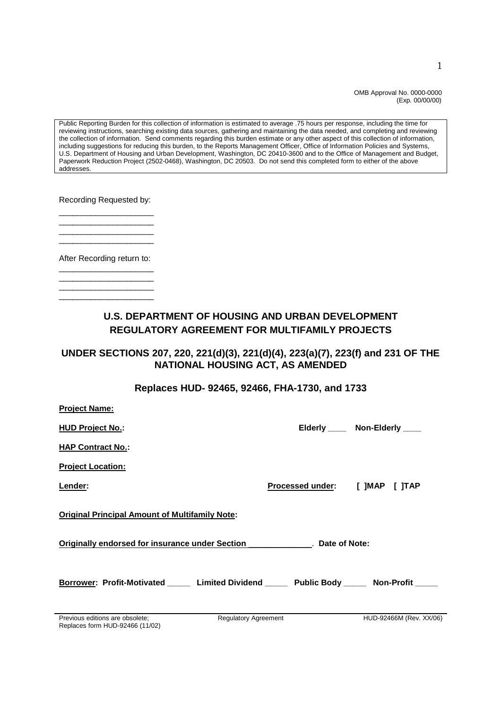OMB Approval No. 0000-0000 (Exp. 00/00/00)

Public Reporting Burden for this collection of information is estimated to average .75 hours per response, including the time for reviewing instructions, searching existing data sources, gathering and maintaining the data needed, and completing and reviewing the collection of information. Send comments regarding this burden estimate or any other aspect of this collection of information, including suggestions for reducing this burden, to the Reports Management Officer, Office of Information Policies and Systems, U.S. Department of Housing and Urban Development, Washington, DC 20410-3600 and to the Office of Management and Budget, Paperwork Reduction Project (2502-0468), Washington, DC 20503. Do not send this completed form to either of the above addresses.

Recording Requested by:

\_\_\_\_\_\_\_\_\_\_\_\_\_\_\_\_\_\_\_\_\_ \_\_\_\_\_\_\_\_\_\_\_\_\_\_\_\_\_\_\_\_\_ \_\_\_\_\_\_\_\_\_\_\_\_\_\_\_\_\_\_\_\_\_

After Recording return to: \_\_\_\_\_\_\_\_\_\_\_\_\_\_\_\_\_\_\_\_\_

\_\_\_\_\_\_\_\_\_\_\_\_\_\_\_\_\_\_\_\_\_

\_\_\_\_\_\_\_\_\_\_\_\_\_\_\_\_\_\_\_\_\_ \_\_\_\_\_\_\_\_\_\_\_\_\_\_\_\_\_\_\_\_\_ \_\_\_\_\_\_\_\_\_\_\_\_\_\_\_\_\_\_\_\_\_

**Project Name:**

### **U.S. DEPARTMENT OF HOUSING AND URBAN DEVELOPMENT REGULATORY AGREEMENT FOR MULTIFAMILY PROJECTS**

#### **UNDER SECTIONS 207, 220, 221(d)(3), 221(d)(4), 223(a)(7), 223(f) and 231 OF THE NATIONAL HOUSING ACT, AS AMENDED**

#### **Replaces HUD- 92465, 92466, FHA-1730, and 1733**

| <b>FIUJELLINAILIE.</b>                                                                                               |                             |                                |                                |
|----------------------------------------------------------------------------------------------------------------------|-----------------------------|--------------------------------|--------------------------------|
| <b>HUD Project No.:</b>                                                                                              |                             |                                | Elderly _____ Non-Elderly ____ |
| <b>HAP Contract No.:</b>                                                                                             |                             |                                |                                |
| <b>Project Location:</b>                                                                                             |                             |                                |                                |
| Lender:                                                                                                              |                             | Processed under: [ ]MAP [ ]TAP |                                |
| <b>Original Principal Amount of Multifamily Note:</b>                                                                |                             |                                |                                |
| <b>Originally endorsed for insurance under Section Lawrence Lawrence Constraint Constraint Constraint Constraint</b> |                             |                                |                                |
| Borrower: Profit-Motivated ______ Limited Dividend _____ Public Body _____ Non-Profit _____                          |                             |                                |                                |
| Previous editions are obsolete;                                                                                      | <b>Regulatory Agreement</b> |                                | HUD-92466M (Rev. XX/06)        |

Replaces form HUD-92466 (11/02)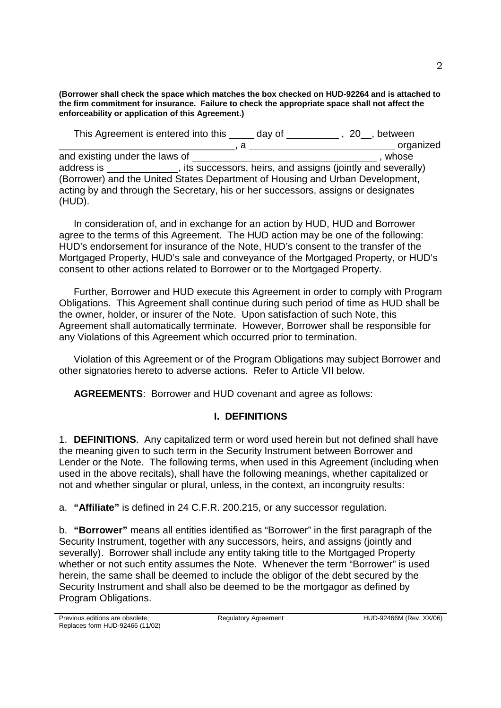**(Borrower shall check the space which matches the box checked on HUD-92264 and is attached to the firm commitment for insurance. Failure to check the appropriate space shall not affect the enforceability or application of this Agreement.)**

This Agreement is entered into this \_\_\_\_\_ day of \_\_\_\_\_\_\_\_\_\_\_, 20\_, between \_\_\_\_\_\_\_\_\_\_\_\_\_\_\_\_\_\_\_\_\_\_\_\_\_\_\_\_\_\_\_\_, a organized and existing under the laws of , whose address is , its successors, heirs, and assigns (jointly and severally) (Borrower) and the United States Department of Housing and Urban Development, acting by and through the Secretary, his or her successors, assigns or designates (HUD).

In consideration of, and in exchange for an action by HUD, HUD and Borrower agree to the terms of this Agreement. The HUD action may be one of the following: HUD's endorsement for insurance of the Note, HUD's consent to the transfer of the Mortgaged Property, HUD's sale and conveyance of the Mortgaged Property, or HUD's consent to other actions related to Borrower or to the Mortgaged Property.

Further, Borrower and HUD execute this Agreement in order to comply with Program Obligations. This Agreement shall continue during such period of time as HUD shall be the owner, holder, or insurer of the Note. Upon satisfaction of such Note, this Agreement shall automatically terminate. However, Borrower shall be responsible for any Violations of this Agreement which occurred prior to termination.

Violation of this Agreement or of the Program Obligations may subject Borrower and other signatories hereto to adverse actions. Refer to Article VII below.

**AGREEMENTS**: Borrower and HUD covenant and agree as follows:

## **I. DEFINITIONS**

1. **DEFINITIONS**. Any capitalized term or word used herein but not defined shall have the meaning given to such term in the Security Instrument between Borrower and Lender or the Note. The following terms, when used in this Agreement (including when used in the above recitals), shall have the following meanings, whether capitalized or not and whether singular or plural, unless, in the context, an incongruity results:

a. **"Affiliate"** is defined in 24 C.F.R. 200.215, or any successor regulation.

b. **"Borrower"** means all entities identified as "Borrower" in the first paragraph of the Security Instrument, together with any successors, heirs, and assigns (jointly and severally). Borrower shall include any entity taking title to the Mortgaged Property whether or not such entity assumes the Note. Whenever the term "Borrower" is used herein, the same shall be deemed to include the obligor of the debt secured by the Security Instrument and shall also be deemed to be the mortgagor as defined by Program Obligations.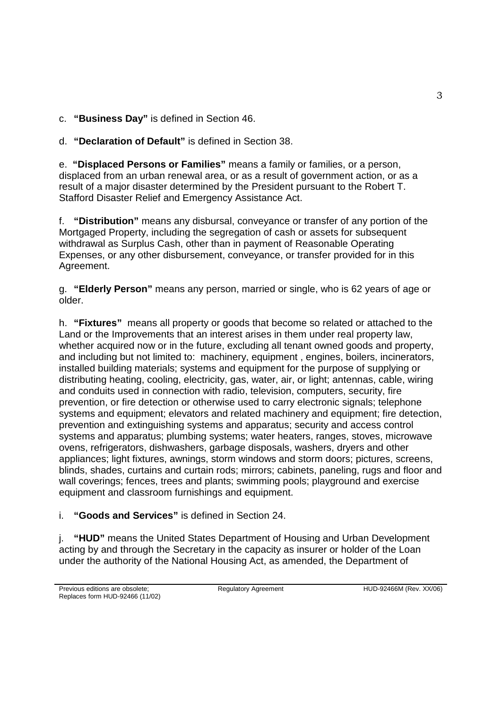c. **"Business Day"** is defined in Section 46.

d. **"Declaration of Default"** is defined in Section 38.

e. **"Displaced Persons or Families"** means a family or families, or a person, displaced from an urban renewal area, or as a result of government action, or as a result of a major disaster determined by the President pursuant to the Robert T. Stafford Disaster Relief and Emergency Assistance Act.

f. **"Distribution"** means any disbursal, conveyance or transfer of any portion of the Mortgaged Property, including the segregation of cash or assets for subsequent withdrawal as Surplus Cash, other than in payment of Reasonable Operating Expenses, or any other disbursement, conveyance, or transfer provided for in this Agreement.

g. **"Elderly Person"** means any person, married or single, who is 62 years of age or older.

h. **"Fixtures"** means all property or goods that become so related or attached to the Land or the Improvements that an interest arises in them under real property law, whether acquired now or in the future, excluding all tenant owned goods and property, and including but not limited to: machinery, equipment , engines, boilers, incinerators, installed building materials; systems and equipment for the purpose of supplying or distributing heating, cooling, electricity, gas, water, air, or light; antennas, cable, wiring and conduits used in connection with radio, television, computers, security, fire prevention, or fire detection or otherwise used to carry electronic signals; telephone systems and equipment; elevators and related machinery and equipment; fire detection, prevention and extinguishing systems and apparatus; security and access control systems and apparatus; plumbing systems; water heaters, ranges, stoves, microwave ovens, refrigerators, dishwashers, garbage disposals, washers, dryers and other appliances; light fixtures, awnings, storm windows and storm doors; pictures, screens, blinds, shades, curtains and curtain rods; mirrors; cabinets, paneling, rugs and floor and wall coverings; fences, trees and plants; swimming pools; playground and exercise equipment and classroom furnishings and equipment.

# i. **"Goods and Services"** is defined in Section 24.

j. **"HUD"** means the United States Department of Housing and Urban Development acting by and through the Secretary in the capacity as insurer or holder of the Loan under the authority of the National Housing Act, as amended, the Department of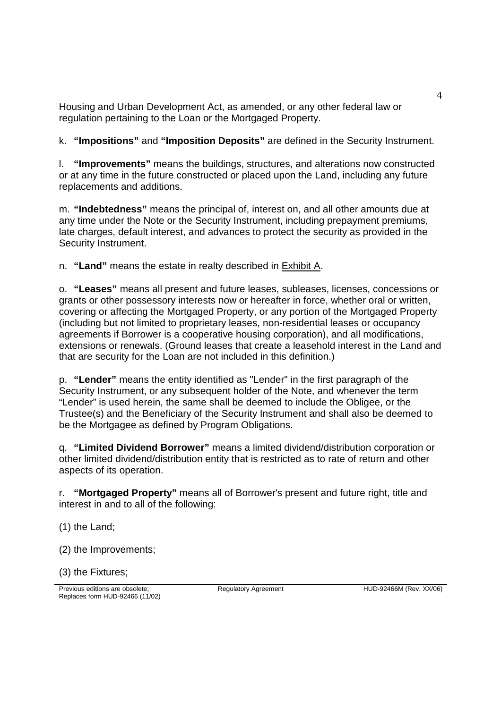Housing and Urban Development Act, as amended, or any other federal law or regulation pertaining to the Loan or the Mortgaged Property.

k. **"Impositions"** and **"Imposition Deposits"** are defined in the Security Instrument.

l. **"Improvements"** means the buildings, structures, and alterations now constructed or at any time in the future constructed or placed upon the Land, including any future replacements and additions.

m. **"Indebtedness"** means the principal of, interest on, and all other amounts due at any time under the Note or the Security Instrument, including prepayment premiums, late charges, default interest, and advances to protect the security as provided in the Security Instrument.

n. **"Land"** means the estate in realty described in Exhibit A.

o. **"Leases"** means all present and future leases, subleases, licenses, concessions or grants or other possessory interests now or hereafter in force, whether oral or written, covering or affecting the Mortgaged Property, or any portion of the Mortgaged Property (including but not limited to proprietary leases, non-residential leases or occupancy agreements if Borrower is a cooperative housing corporation), and all modifications, extensions or renewals. (Ground leases that create a leasehold interest in the Land and that are security for the Loan are not included in this definition.)

p. **"Lender"** means the entity identified as "Lender" in the first paragraph of the Security Instrument, or any subsequent holder of the Note, and whenever the term "Lender" is used herein, the same shall be deemed to include the Obligee, or the Trustee(s) and the Beneficiary of the Security Instrument and shall also be deemed to be the Mortgagee as defined by Program Obligations.

q. **"Limited Dividend Borrower"** means a limited dividend/distribution corporation or other limited dividend/distribution entity that is restricted as to rate of return and other aspects of its operation.

r. **"Mortgaged Property"** means all of Borrower's present and future right, title and interest in and to all of the following:

(1) the Land;

(2) the Improvements;

(3) the Fixtures;

Previous editions are obsolete; Replaces form HUD-92466 (11/02)

Regulatory Agreement HUD-92466M (Rev. XX/06)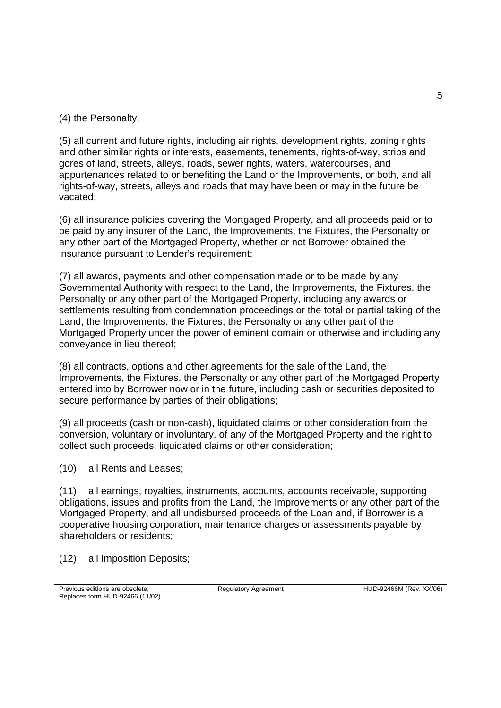(4) the Personalty;

(5) all current and future rights, including air rights, development rights, zoning rights and other similar rights or interests, easements, tenements, rights-of-way, strips and gores of land, streets, alleys, roads, sewer rights, waters, watercourses, and appurtenances related to or benefiting the Land or the Improvements, or both, and all rights-of-way, streets, alleys and roads that may have been or may in the future be vacated;

(6) all insurance policies covering the Mortgaged Property, and all proceeds paid or to be paid by any insurer of the Land, the Improvements, the Fixtures, the Personalty or any other part of the Mortgaged Property, whether or not Borrower obtained the insurance pursuant to Lender's requirement;

(7) all awards, payments and other compensation made or to be made by any Governmental Authority with respect to the Land, the Improvements, the Fixtures, the Personalty or any other part of the Mortgaged Property, including any awards or settlements resulting from condemnation proceedings or the total or partial taking of the Land, the Improvements, the Fixtures, the Personalty or any other part of the Mortgaged Property under the power of eminent domain or otherwise and including any conveyance in lieu thereof;

(8) all contracts, options and other agreements for the sale of the Land, the Improvements, the Fixtures, the Personalty or any other part of the Mortgaged Property entered into by Borrower now or in the future, including cash or securities deposited to secure performance by parties of their obligations;

(9) all proceeds (cash or non-cash), liquidated claims or other consideration from the conversion, voluntary or involuntary, of any of the Mortgaged Property and the right to collect such proceeds, liquidated claims or other consideration;

(10) all Rents and Leases;

(11) all earnings, royalties, instruments, accounts, accounts receivable, supporting obligations, issues and profits from the Land, the Improvements or any other part of the Mortgaged Property, and all undisbursed proceeds of the Loan and, if Borrower is a cooperative housing corporation, maintenance charges or assessments payable by shareholders or residents;

(12) all Imposition Deposits;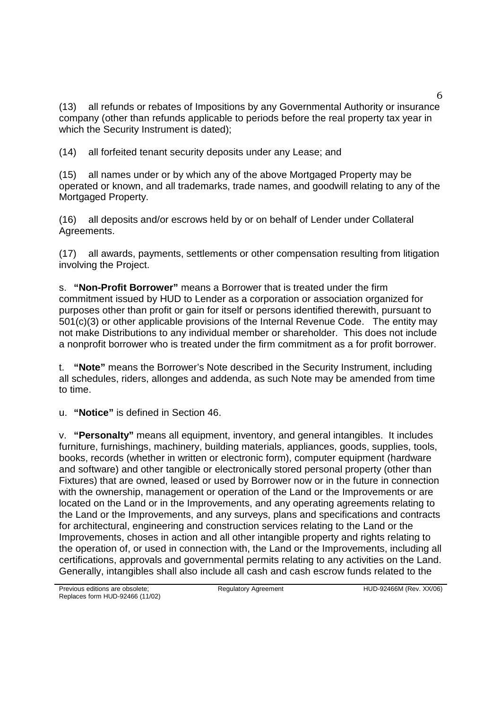(13) all refunds or rebates of Impositions by any Governmental Authority or insurance company (other than refunds applicable to periods before the real property tax year in which the Security Instrument is dated);

(14) all forfeited tenant security deposits under any Lease; and

(15) all names under or by which any of the above Mortgaged Property may be operated or known, and all trademarks, trade names, and goodwill relating to any of the Mortgaged Property.

(16) all deposits and/or escrows held by or on behalf of Lender under Collateral Agreements.

(17) all awards, payments, settlements or other compensation resulting from litigation involving the Project.

s. **"Non-Profit Borrower"** means a Borrower that is treated under the firm commitment issued by HUD to Lender as a corporation or association organized for purposes other than profit or gain for itself or persons identified therewith, pursuant to 501(c)(3) or other applicable provisions of the Internal Revenue Code. The entity may not make Distributions to any individual member or shareholder. This does not include a nonprofit borrower who is treated under the firm commitment as a for profit borrower.

t. **"Note"** means the Borrower's Note described in the Security Instrument, including all schedules, riders, allonges and addenda, as such Note may be amended from time to time.

u. **"Notice"** is defined in Section 46.

v. **"Personalty"** means all equipment, inventory, and general intangibles. It includes furniture, furnishings, machinery, building materials, appliances, goods, supplies, tools, books, records (whether in written or electronic form), computer equipment (hardware and software) and other tangible or electronically stored personal property (other than Fixtures) that are owned, leased or used by Borrower now or in the future in connection with the ownership, management or operation of the Land or the Improvements or are located on the Land or in the Improvements, and any operating agreements relating to the Land or the Improvements, and any surveys, plans and specifications and contracts for architectural, engineering and construction services relating to the Land or the Improvements, choses in action and all other intangible property and rights relating to the operation of, or used in connection with, the Land or the Improvements, including all certifications, approvals and governmental permits relating to any activities on the Land. Generally, intangibles shall also include all cash and cash escrow funds related to the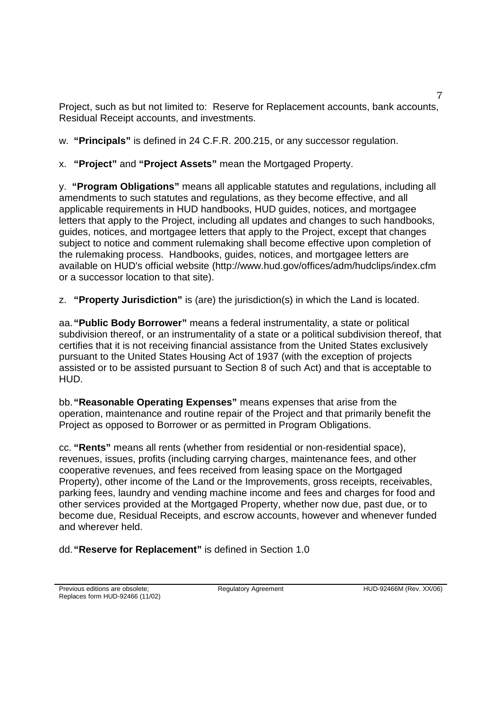Project, such as but not limited to: Reserve for Replacement accounts, bank accounts, Residual Receipt accounts, and investments.

w. **"Principals"** is defined in 24 C.F.R. 200.215, or any successor regulation.

x. **"Project"** and **"Project Assets"** mean the Mortgaged Property.

y. **"Program Obligations"** means all applicable statutes and regulations, including all amendments to such statutes and regulations, as they become effective, and all applicable requirements in HUD handbooks, HUD guides, notices, and mortgagee letters that apply to the Project, including all updates and changes to such handbooks, guides, notices, and mortgagee letters that apply to the Project, except that changes subject to notice and comment rulemaking shall become effective upon completion of the rulemaking process. Handbooks, guides, notices, and mortgagee letters are available on HUD's official website (http://www.hud.gov/offices/adm/hudclips/index.cfm or a successor location to that site).

z. **"Property Jurisdiction"** is (are) the jurisdiction(s) in which the Land is located.

aa.**"Public Body Borrower"** means a federal instrumentality, a state or political subdivision thereof, or an instrumentality of a state or a political subdivision thereof, that certifies that it is not receiving financial assistance from the United States exclusively pursuant to the United States Housing Act of 1937 (with the exception of projects assisted or to be assisted pursuant to Section 8 of such Act) and that is acceptable to HUD.

bb.**"Reasonable Operating Expenses"** means expenses that arise from the operation, maintenance and routine repair of the Project and that primarily benefit the Project as opposed to Borrower or as permitted in Program Obligations.

cc. **"Rents"** means all rents (whether from residential or non-residential space), revenues, issues, profits (including carrying charges, maintenance fees, and other cooperative revenues, and fees received from leasing space on the Mortgaged Property), other income of the Land or the Improvements, gross receipts, receivables, parking fees, laundry and vending machine income and fees and charges for food and other services provided at the Mortgaged Property, whether now due, past due, or to become due, Residual Receipts, and escrow accounts, however and whenever funded and wherever held.

dd.**"Reserve for Replacement"** is defined in Section 1.0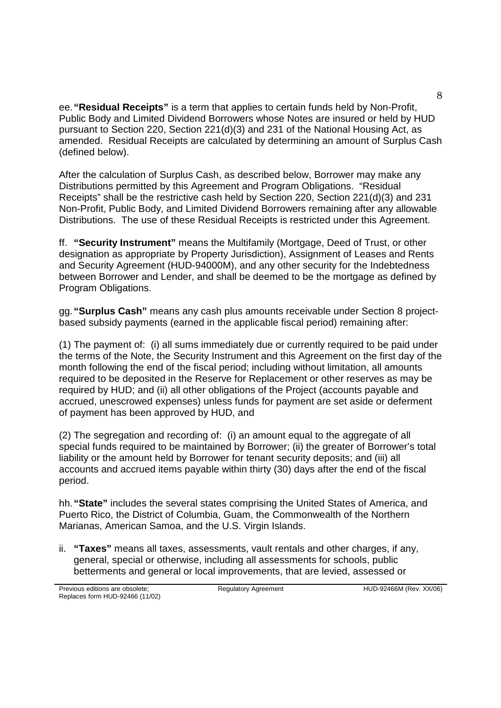ee.**"Residual Receipts"** is a term that applies to certain funds held by Non-Profit, Public Body and Limited Dividend Borrowers whose Notes are insured or held by HUD pursuant to Section 220, Section 221(d)(3) and 231 of the National Housing Act, as amended. Residual Receipts are calculated by determining an amount of Surplus Cash (defined below).

After the calculation of Surplus Cash, as described below, Borrower may make any Distributions permitted by this Agreement and Program Obligations. "Residual Receipts" shall be the restrictive cash held by Section 220, Section 221(d)(3) and 231 Non-Profit, Public Body, and Limited Dividend Borrowers remaining after any allowable Distributions. The use of these Residual Receipts is restricted under this Agreement.

ff. **"Security Instrument"** means the Multifamily (Mortgage, Deed of Trust, or other designation as appropriate by Property Jurisdiction), Assignment of Leases and Rents and Security Agreement (HUD-94000M), and any other security for the Indebtedness between Borrower and Lender, and shall be deemed to be the mortgage as defined by Program Obligations.

gg.**"Surplus Cash"** means any cash plus amounts receivable under Section 8 projectbased subsidy payments (earned in the applicable fiscal period) remaining after:

(1) The payment of: (i) all sums immediately due or currently required to be paid under the terms of the Note, the Security Instrument and this Agreement on the first day of the month following the end of the fiscal period; including without limitation, all amounts required to be deposited in the Reserve for Replacement or other reserves as may be required by HUD; and (ii) all other obligations of the Project (accounts payable and accrued, unescrowed expenses) unless funds for payment are set aside or deferment of payment has been approved by HUD, and

(2) The segregation and recording of: (i) an amount equal to the aggregate of all special funds required to be maintained by Borrower; (ii) the greater of Borrower's total liability or the amount held by Borrower for tenant security deposits; and (iii) all accounts and accrued items payable within thirty (30) days after the end of the fiscal period.

hh.**"State"** includes the several states comprising the United States of America, and Puerto Rico, the District of Columbia, Guam, the Commonwealth of the Northern Marianas, American Samoa, and the U.S. Virgin Islands.

ii. **"Taxes"** means all taxes, assessments, vault rentals and other charges, if any, general, special or otherwise, including all assessments for schools, public betterments and general or local improvements, that are levied, assessed or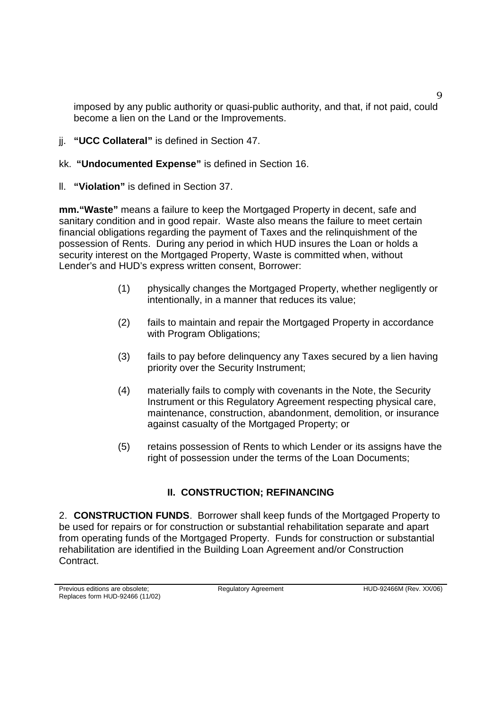imposed by any public authority or quasi-public authority, and that, if not paid, could become a lien on the Land or the Improvements.

- jj. **"UCC Collateral"** is defined in Section 47.
- kk. **"Undocumented Expense"** is defined in Section 16.
- ll. **"Violation"** is defined in Section 37.

**mm."Waste"** means a failure to keep the Mortgaged Property in decent, safe and sanitary condition and in good repair. Waste also means the failure to meet certain financial obligations regarding the payment of Taxes and the relinquishment of the possession of Rents. During any period in which HUD insures the Loan or holds a security interest on the Mortgaged Property, Waste is committed when, without Lender's and HUD's express written consent, Borrower:

- (1) physically changes the Mortgaged Property, whether negligently or intentionally, in a manner that reduces its value;
- (2) fails to maintain and repair the Mortgaged Property in accordance with Program Obligations;
- (3) fails to pay before delinquency any Taxes secured by a lien having priority over the Security Instrument;
- (4) materially fails to comply with covenants in the Note, the Security Instrument or this Regulatory Agreement respecting physical care, maintenance, construction, abandonment, demolition, or insurance against casualty of the Mortgaged Property; or
- (5) retains possession of Rents to which Lender or its assigns have the right of possession under the terms of the Loan Documents;

# **II. CONSTRUCTION; REFINANCING**

2. **CONSTRUCTION FUNDS**. Borrower shall keep funds of the Mortgaged Property to be used for repairs or for construction or substantial rehabilitation separate and apart from operating funds of the Mortgaged Property. Funds for construction or substantial rehabilitation are identified in the Building Loan Agreement and/or Construction Contract.

9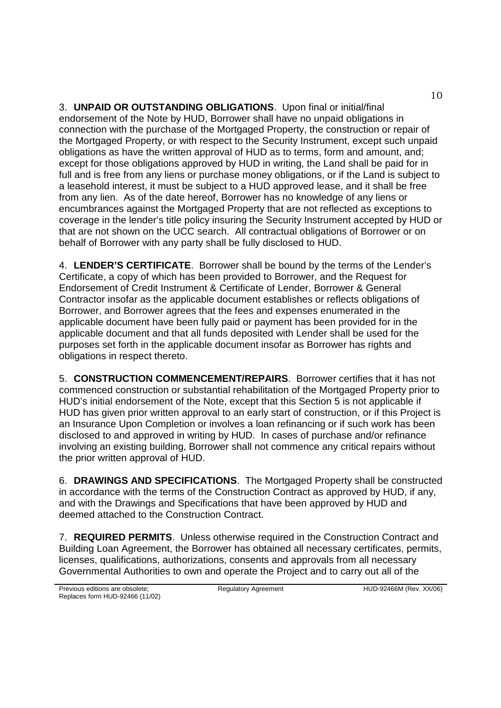3. **UNPAID OR OUTSTANDING OBLIGATIONS**. Upon final or initial/final endorsement of the Note by HUD, Borrower shall have no unpaid obligations in connection with the purchase of the Mortgaged Property, the construction or repair of the Mortgaged Property, or with respect to the Security Instrument, except such unpaid obligations as have the written approval of HUD as to terms, form and amount, and; except for those obligations approved by HUD in writing, the Land shall be paid for in full and is free from any liens or purchase money obligations, or if the Land is subject to a leasehold interest, it must be subject to a HUD approved lease, and it shall be free from any lien. As of the date hereof, Borrower has no knowledge of any liens or encumbrances against the Mortgaged Property that are not reflected as exceptions to coverage in the lender's title policy insuring the Security Instrument accepted by HUD or that are not shown on the UCC search. All contractual obligations of Borrower or on behalf of Borrower with any party shall be fully disclosed to HUD.

4. **LENDER'S CERTIFICATE**. Borrower shall be bound by the terms of the Lender's Certificate, a copy of which has been provided to Borrower, and the Request for Endorsement of Credit Instrument & Certificate of Lender, Borrower & General Contractor insofar as the applicable document establishes or reflects obligations of Borrower, and Borrower agrees that the fees and expenses enumerated in the applicable document have been fully paid or payment has been provided for in the applicable document and that all funds deposited with Lender shall be used for the purposes set forth in the applicable document insofar as Borrower has rights and obligations in respect thereto.

5. **CONSTRUCTION COMMENCEMENT/REPAIRS**. Borrower certifies that it has not commenced construction or substantial rehabilitation of the Mortgaged Property prior to HUD's initial endorsement of the Note, except that this Section 5 is not applicable if HUD has given prior written approval to an early start of construction, or if this Project is an Insurance Upon Completion or involves a loan refinancing or if such work has been disclosed to and approved in writing by HUD. In cases of purchase and/or refinance involving an existing building, Borrower shall not commence any critical repairs without the prior written approval of HUD.

6. **DRAWINGS AND SPECIFICATIONS**. The Mortgaged Property shall be constructed in accordance with the terms of the Construction Contract as approved by HUD, if any, and with the Drawings and Specifications that have been approved by HUD and deemed attached to the Construction Contract.

7. **REQUIRED PERMITS**. Unless otherwise required in the Construction Contract and Building Loan Agreement, the Borrower has obtained all necessary certificates, permits, licenses, qualifications, authorizations, consents and approvals from all necessary Governmental Authorities to own and operate the Project and to carry out all of the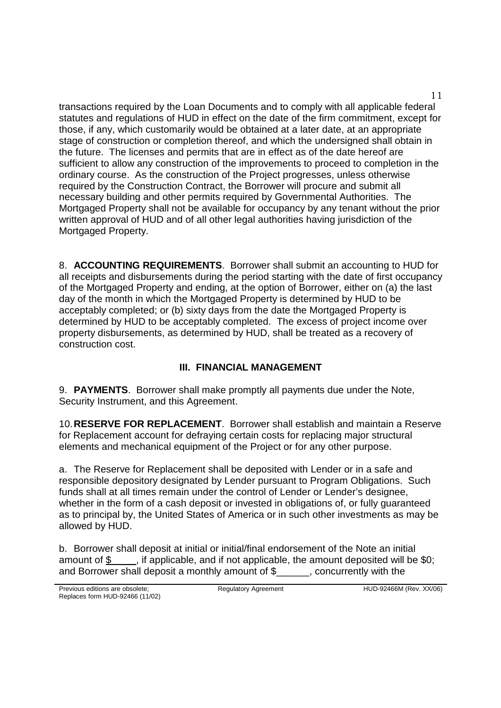transactions required by the Loan Documents and to comply with all applicable federal statutes and regulations of HUD in effect on the date of the firm commitment, except for those, if any, which customarily would be obtained at a later date, at an appropriate stage of construction or completion thereof, and which the undersigned shall obtain in the future. The licenses and permits that are in effect as of the date hereof are sufficient to allow any construction of the improvements to proceed to completion in the ordinary course. As the construction of the Project progresses, unless otherwise required by the Construction Contract, the Borrower will procure and submit all necessary building and other permits required by Governmental Authorities. The Mortgaged Property shall not be available for occupancy by any tenant without the prior written approval of HUD and of all other legal authorities having jurisdiction of the Mortgaged Property.

8. **ACCOUNTING REQUIREMENTS**. Borrower shall submit an accounting to HUD for all receipts and disbursements during the period starting with the date of first occupancy of the Mortgaged Property and ending, at the option of Borrower, either on (a) the last day of the month in which the Mortgaged Property is determined by HUD to be acceptably completed; or (b) sixty days from the date the Mortgaged Property is determined by HUD to be acceptably completed. The excess of project income over property disbursements, as determined by HUD, shall be treated as a recovery of construction cost.

# **III. FINANCIAL MANAGEMENT**

9. **PAYMENTS**. Borrower shall make promptly all payments due under the Note, Security Instrument, and this Agreement.

10.**RESERVE FOR REPLACEMENT**. Borrower shall establish and maintain a Reserve for Replacement account for defraying certain costs for replacing major structural elements and mechanical equipment of the Project or for any other purpose.

a. The Reserve for Replacement shall be deposited with Lender or in a safe and responsible depository designated by Lender pursuant to Program Obligations. Such funds shall at all times remain under the control of Lender or Lender's designee, whether in the form of a cash deposit or invested in obligations of, or fully guaranteed as to principal by, the United States of America or in such other investments as may be allowed by HUD.

b. Borrower shall deposit at initial or initial/final endorsement of the Note an initial amount of  $\gamma$  \_\_\_, if applicable, and if not applicable, the amount deposited will be \$0; and Borrower shall deposit a monthly amount of \$\_\_\_\_\_\_, concurrently with the

11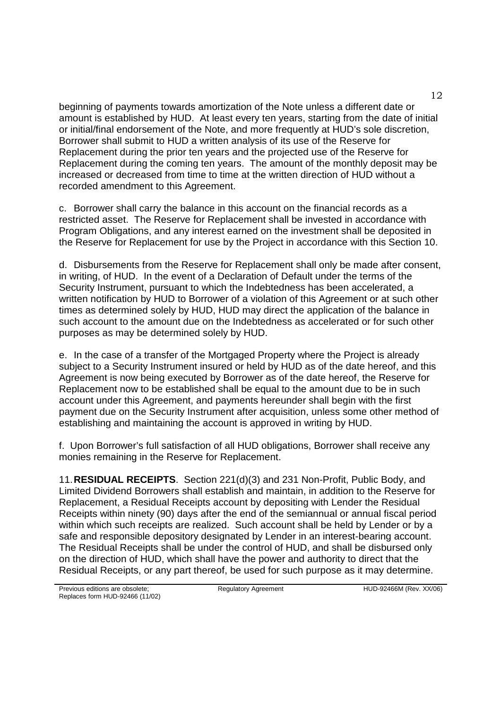beginning of payments towards amortization of the Note unless a different date or amount is established by HUD. At least every ten years, starting from the date of initial or initial/final endorsement of the Note, and more frequently at HUD's sole discretion, Borrower shall submit to HUD a written analysis of its use of the Reserve for Replacement during the prior ten years and the projected use of the Reserve for Replacement during the coming ten years. The amount of the monthly deposit may be increased or decreased from time to time at the written direction of HUD without a recorded amendment to this Agreement.

c. Borrower shall carry the balance in this account on the financial records as a restricted asset. The Reserve for Replacement shall be invested in accordance with Program Obligations, and any interest earned on the investment shall be deposited in the Reserve for Replacement for use by the Project in accordance with this Section 10.

d. Disbursements from the Reserve for Replacement shall only be made after consent, in writing, of HUD. In the event of a Declaration of Default under the terms of the Security Instrument, pursuant to which the Indebtedness has been accelerated, a written notification by HUD to Borrower of a violation of this Agreement or at such other times as determined solely by HUD, HUD may direct the application of the balance in such account to the amount due on the Indebtedness as accelerated or for such other purposes as may be determined solely by HUD.

e. In the case of a transfer of the Mortgaged Property where the Project is already subject to a Security Instrument insured or held by HUD as of the date hereof, and this Agreement is now being executed by Borrower as of the date hereof, the Reserve for Replacement now to be established shall be equal to the amount due to be in such account under this Agreement, and payments hereunder shall begin with the first payment due on the Security Instrument after acquisition, unless some other method of establishing and maintaining the account is approved in writing by HUD.

f. Upon Borrower's full satisfaction of all HUD obligations, Borrower shall receive any monies remaining in the Reserve for Replacement.

11.**RESIDUAL RECEIPTS**. Section 221(d)(3) and 231 Non-Profit, Public Body, and Limited Dividend Borrowers shall establish and maintain, in addition to the Reserve for Replacement, a Residual Receipts account by depositing with Lender the Residual Receipts within ninety (90) days after the end of the semiannual or annual fiscal period within which such receipts are realized. Such account shall be held by Lender or by a safe and responsible depository designated by Lender in an interest-bearing account. The Residual Receipts shall be under the control of HUD, and shall be disbursed only on the direction of HUD, which shall have the power and authority to direct that the Residual Receipts, or any part thereof, be used for such purpose as it may determine.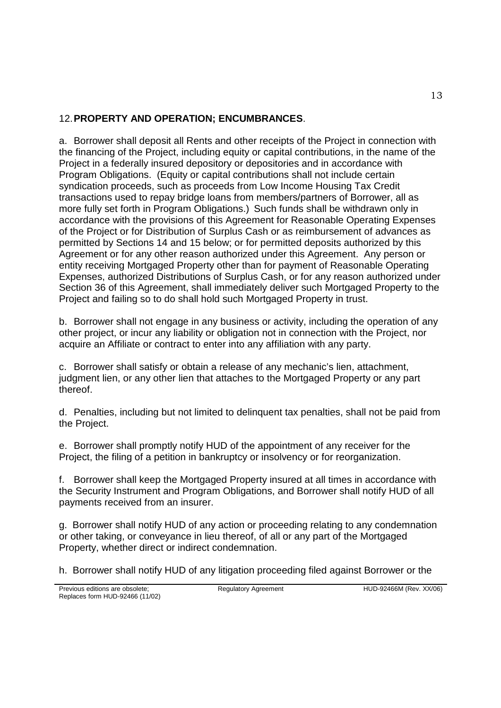## 12.**PROPERTY AND OPERATION; ENCUMBRANCES**.

a. Borrower shall deposit all Rents and other receipts of the Project in connection with the financing of the Project, including equity or capital contributions, in the name of the Project in a federally insured depository or depositories and in accordance with Program Obligations. (Equity or capital contributions shall not include certain syndication proceeds, such as proceeds from Low Income Housing Tax Credit transactions used to repay bridge loans from members/partners of Borrower, all as more fully set forth in Program Obligations.) Such funds shall be withdrawn only in accordance with the provisions of this Agreement for Reasonable Operating Expenses of the Project or for Distribution of Surplus Cash or as reimbursement of advances as permitted by Sections 14 and 15 below; or for permitted deposits authorized by this Agreement or for any other reason authorized under this Agreement. Any person or entity receiving Mortgaged Property other than for payment of Reasonable Operating Expenses, authorized Distributions of Surplus Cash, or for any reason authorized under Section 36 of this Agreement, shall immediately deliver such Mortgaged Property to the Project and failing so to do shall hold such Mortgaged Property in trust.

b. Borrower shall not engage in any business or activity, including the operation of any other project, or incur any liability or obligation not in connection with the Project, nor acquire an Affiliate or contract to enter into any affiliation with any party.

c. Borrower shall satisfy or obtain a release of any mechanic's lien, attachment, judgment lien, or any other lien that attaches to the Mortgaged Property or any part thereof.

d. Penalties, including but not limited to delinquent tax penalties, shall not be paid from the Project.

e. Borrower shall promptly notify HUD of the appointment of any receiver for the Project, the filing of a petition in bankruptcy or insolvency or for reorganization.

f. Borrower shall keep the Mortgaged Property insured at all times in accordance with the Security Instrument and Program Obligations, and Borrower shall notify HUD of all payments received from an insurer.

g. Borrower shall notify HUD of any action or proceeding relating to any condemnation or other taking, or conveyance in lieu thereof, of all or any part of the Mortgaged Property, whether direct or indirect condemnation.

h. Borrower shall notify HUD of any litigation proceeding filed against Borrower or the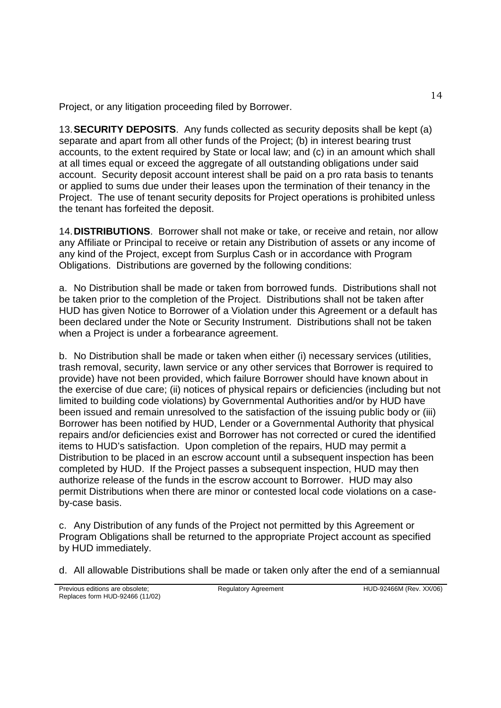Project, or any litigation proceeding filed by Borrower.

13.**SECURITY DEPOSITS**. Any funds collected as security deposits shall be kept (a) separate and apart from all other funds of the Project; (b) in interest bearing trust accounts, to the extent required by State or local law; and (c) in an amount which shall at all times equal or exceed the aggregate of all outstanding obligations under said account. Security deposit account interest shall be paid on a pro rata basis to tenants or applied to sums due under their leases upon the termination of their tenancy in the Project. The use of tenant security deposits for Project operations is prohibited unless the tenant has forfeited the deposit.

14.**DISTRIBUTIONS**. Borrower shall not make or take, or receive and retain, nor allow any Affiliate or Principal to receive or retain any Distribution of assets or any income of any kind of the Project, except from Surplus Cash or in accordance with Program Obligations. Distributions are governed by the following conditions:

a. No Distribution shall be made or taken from borrowed funds. Distributions shall not be taken prior to the completion of the Project. Distributions shall not be taken after HUD has given Notice to Borrower of a Violation under this Agreement or a default has been declared under the Note or Security Instrument. Distributions shall not be taken when a Project is under a forbearance agreement.

b. No Distribution shall be made or taken when either (i) necessary services (utilities, trash removal, security, lawn service or any other services that Borrower is required to provide) have not been provided, which failure Borrower should have known about in the exercise of due care; (ii) notices of physical repairs or deficiencies (including but not limited to building code violations) by Governmental Authorities and/or by HUD have been issued and remain unresolved to the satisfaction of the issuing public body or (iii) Borrower has been notified by HUD, Lender or a Governmental Authority that physical repairs and/or deficiencies exist and Borrower has not corrected or cured the identified items to HUD's satisfaction. Upon completion of the repairs, HUD may permit a Distribution to be placed in an escrow account until a subsequent inspection has been completed by HUD. If the Project passes a subsequent inspection, HUD may then authorize release of the funds in the escrow account to Borrower. HUD may also permit Distributions when there are minor or contested local code violations on a caseby-case basis.

c. Any Distribution of any funds of the Project not permitted by this Agreement or Program Obligations shall be returned to the appropriate Project account as specified by HUD immediately.

d. All allowable Distributions shall be made or taken only after the end of a semiannual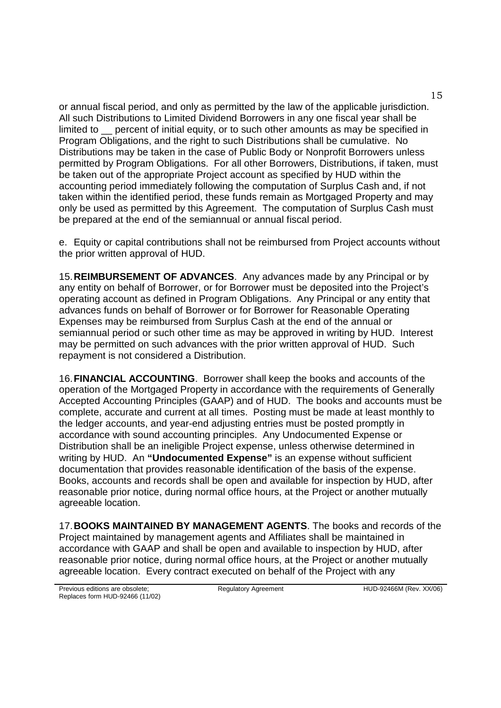or annual fiscal period, and only as permitted by the law of the applicable jurisdiction. All such Distributions to Limited Dividend Borrowers in any one fiscal year shall be limited to percent of initial equity, or to such other amounts as may be specified in Program Obligations, and the right to such Distributions shall be cumulative. No Distributions may be taken in the case of Public Body or Nonprofit Borrowers unless permitted by Program Obligations. For all other Borrowers, Distributions, if taken, must be taken out of the appropriate Project account as specified by HUD within the accounting period immediately following the computation of Surplus Cash and, if not taken within the identified period, these funds remain as Mortgaged Property and may only be used as permitted by this Agreement. The computation of Surplus Cash must be prepared at the end of the semiannual or annual fiscal period.

e. Equity or capital contributions shall not be reimbursed from Project accounts without the prior written approval of HUD.

15.**REIMBURSEMENT OF ADVANCES**. Any advances made by any Principal or by any entity on behalf of Borrower, or for Borrower must be deposited into the Project's operating account as defined in Program Obligations. Any Principal or any entity that advances funds on behalf of Borrower or for Borrower for Reasonable Operating Expenses may be reimbursed from Surplus Cash at the end of the annual or semiannual period or such other time as may be approved in writing by HUD. Interest may be permitted on such advances with the prior written approval of HUD. Such repayment is not considered a Distribution.

16.**FINANCIAL ACCOUNTING**. Borrower shall keep the books and accounts of the operation of the Mortgaged Property in accordance with the requirements of Generally Accepted Accounting Principles (GAAP) and of HUD. The books and accounts must be complete, accurate and current at all times. Posting must be made at least monthly to the ledger accounts, and year-end adjusting entries must be posted promptly in accordance with sound accounting principles. Any Undocumented Expense or Distribution shall be an ineligible Project expense, unless otherwise determined in writing by HUD. An **"Undocumented Expense"** is an expense without sufficient documentation that provides reasonable identification of the basis of the expense. Books, accounts and records shall be open and available for inspection by HUD, after reasonable prior notice, during normal office hours, at the Project or another mutually agreeable location.

17.**BOOKS MAINTAINED BY MANAGEMENT AGENTS**. The books and records of the Project maintained by management agents and Affiliates shall be maintained in accordance with GAAP and shall be open and available to inspection by HUD, after reasonable prior notice, during normal office hours, at the Project or another mutually agreeable location. Every contract executed on behalf of the Project with any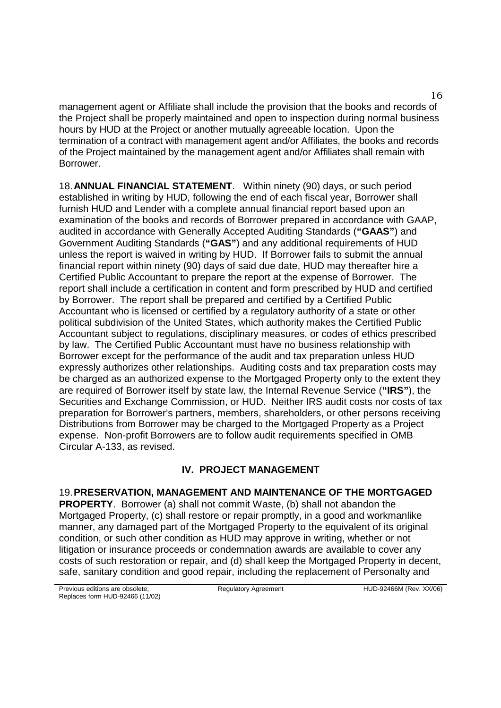management agent or Affiliate shall include the provision that the books and records of the Project shall be properly maintained and open to inspection during normal business hours by HUD at the Project or another mutually agreeable location. Upon the termination of a contract with management agent and/or Affiliates, the books and records of the Project maintained by the management agent and/or Affiliates shall remain with Borrower.

18.**ANNUAL FINANCIAL STATEMENT**. Within ninety (90) days, or such period established in writing by HUD, following the end of each fiscal year, Borrower shall furnish HUD and Lender with a complete annual financial report based upon an examination of the books and records of Borrower prepared in accordance with GAAP, audited in accordance with Generally Accepted Auditing Standards (**"GAAS"**) and Government Auditing Standards (**"GAS"**) and any additional requirements of HUD unless the report is waived in writing by HUD. If Borrower fails to submit the annual financial report within ninety (90) days of said due date, HUD may thereafter hire a Certified Public Accountant to prepare the report at the expense of Borrower. The report shall include a certification in content and form prescribed by HUD and certified by Borrower. The report shall be prepared and certified by a Certified Public Accountant who is licensed or certified by a regulatory authority of a state or other political subdivision of the United States, which authority makes the Certified Public Accountant subject to regulations, disciplinary measures, or codes of ethics prescribed by law. The Certified Public Accountant must have no business relationship with Borrower except for the performance of the audit and tax preparation unless HUD expressly authorizes other relationships. Auditing costs and tax preparation costs may be charged as an authorized expense to the Mortgaged Property only to the extent they are required of Borrower itself by state law, the Internal Revenue Service (**"IRS"**), the Securities and Exchange Commission, or HUD. Neither IRS audit costs nor costs of tax preparation for Borrower's partners, members, shareholders, or other persons receiving Distributions from Borrower may be charged to the Mortgaged Property as a Project expense. Non-profit Borrowers are to follow audit requirements specified in OMB Circular A-133, as revised.

## **IV. PROJECT MANAGEMENT**

19.**PRESERVATION, MANAGEMENT AND MAINTENANCE OF THE MORTGAGED PROPERTY.** Borrower (a) shall not commit Waste, (b) shall not abandon the Mortgaged Property, (c) shall restore or repair promptly, in a good and workmanlike manner, any damaged part of the Mortgaged Property to the equivalent of its original condition, or such other condition as HUD may approve in writing, whether or not litigation or insurance proceeds or condemnation awards are available to cover any costs of such restoration or repair, and (d) shall keep the Mortgaged Property in decent, safe, sanitary condition and good repair, including the replacement of Personalty and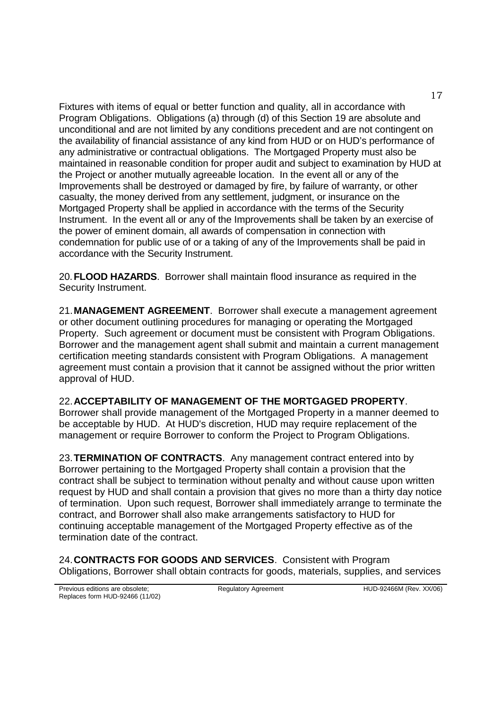Fixtures with items of equal or better function and quality, all in accordance with Program Obligations. Obligations (a) through (d) of this Section 19 are absolute and unconditional and are not limited by any conditions precedent and are not contingent on the availability of financial assistance of any kind from HUD or on HUD's performance of any administrative or contractual obligations. The Mortgaged Property must also be maintained in reasonable condition for proper audit and subject to examination by HUD at the Project or another mutually agreeable location. In the event all or any of the Improvements shall be destroyed or damaged by fire, by failure of warranty, or other casualty, the money derived from any settlement, judgment, or insurance on the Mortgaged Property shall be applied in accordance with the terms of the Security Instrument. In the event all or any of the Improvements shall be taken by an exercise of the power of eminent domain, all awards of compensation in connection with condemnation for public use of or a taking of any of the Improvements shall be paid in accordance with the Security Instrument.

20.**FLOOD HAZARDS**. Borrower shall maintain flood insurance as required in the Security Instrument.

21.**MANAGEMENT AGREEMENT**. Borrower shall execute a management agreement or other document outlining procedures for managing or operating the Mortgaged Property. Such agreement or document must be consistent with Program Obligations. Borrower and the management agent shall submit and maintain a current management certification meeting standards consistent with Program Obligations. A management agreement must contain a provision that it cannot be assigned without the prior written approval of HUD.

#### 22.**ACCEPTABILITY OF MANAGEMENT OF THE MORTGAGED PROPERTY**.

Borrower shall provide management of the Mortgaged Property in a manner deemed to be acceptable by HUD. At HUD's discretion, HUD may require replacement of the management or require Borrower to conform the Project to Program Obligations.

23.**TERMINATION OF CONTRACTS**. Any management contract entered into by Borrower pertaining to the Mortgaged Property shall contain a provision that the contract shall be subject to termination without penalty and without cause upon written request by HUD and shall contain a provision that gives no more than a thirty day notice of termination. Upon such request, Borrower shall immediately arrange to terminate the contract, and Borrower shall also make arrangements satisfactory to HUD for continuing acceptable management of the Mortgaged Property effective as of the termination date of the contract.

24.**CONTRACTS FOR GOODS AND SERVICES**. Consistent with Program Obligations, Borrower shall obtain contracts for goods, materials, supplies, and services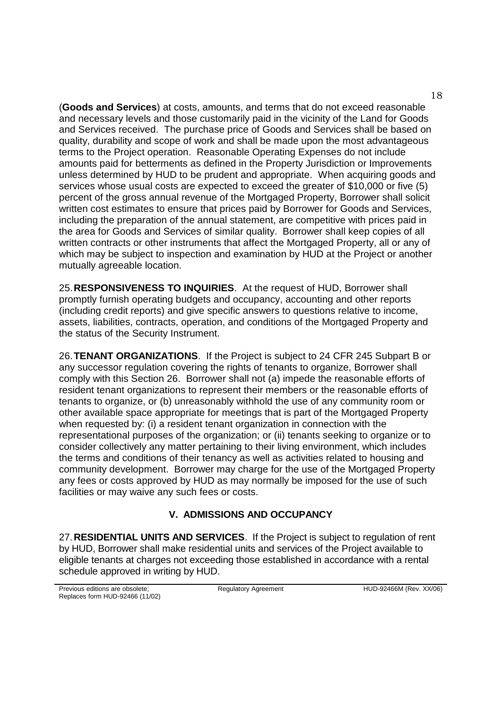(**Goods and Services**) at costs, amounts, and terms that do not exceed reasonable and necessary levels and those customarily paid in the vicinity of the Land for Goods and Services received. The purchase price of Goods and Services shall be based on quality, durability and scope of work and shall be made upon the most advantageous terms to the Project operation. Reasonable Operating Expenses do not include amounts paid for betterments as defined in the Property Jurisdiction or Improvements unless determined by HUD to be prudent and appropriate. When acquiring goods and services whose usual costs are expected to exceed the greater of \$10,000 or five (5) percent of the gross annual revenue of the Mortgaged Property, Borrower shall solicit written cost estimates to ensure that prices paid by Borrower for Goods and Services, including the preparation of the annual statement, are competitive with prices paid in the area for Goods and Services of similar quality. Borrower shall keep copies of all written contracts or other instruments that affect the Mortgaged Property, all or any of which may be subject to inspection and examination by HUD at the Project or another mutually agreeable location.

25.**RESPONSIVENESS TO INQUIRIES**. At the request of HUD, Borrower shall promptly furnish operating budgets and occupancy, accounting and other reports (including credit reports) and give specific answers to questions relative to income, assets, liabilities, contracts, operation, and conditions of the Mortgaged Property and the status of the Security Instrument.

26.**TENANT ORGANIZATIONS**. If the Project is subject to 24 CFR 245 Subpart B or any successor regulation covering the rights of tenants to organize, Borrower shall comply with this Section 26. Borrower shall not (a) impede the reasonable efforts of resident tenant organizations to represent their members or the reasonable efforts of tenants to organize, or (b) unreasonably withhold the use of any community room or other available space appropriate for meetings that is part of the Mortgaged Property when requested by: (i) a resident tenant organization in connection with the representational purposes of the organization; or (ii) tenants seeking to organize or to consider collectively any matter pertaining to their living environment, which includes the terms and conditions of their tenancy as well as activities related to housing and community development. Borrower may charge for the use of the Mortgaged Property any fees or costs approved by HUD as may normally be imposed for the use of such facilities or may waive any such fees or costs.

## **V. ADMISSIONS AND OCCUPANCY**

27.**RESIDENTIAL UNITS AND SERVICES**. If the Project is subject to regulation of rent by HUD, Borrower shall make residential units and services of the Project available to eligible tenants at charges not exceeding those established in accordance with a rental schedule approved in writing by HUD.

18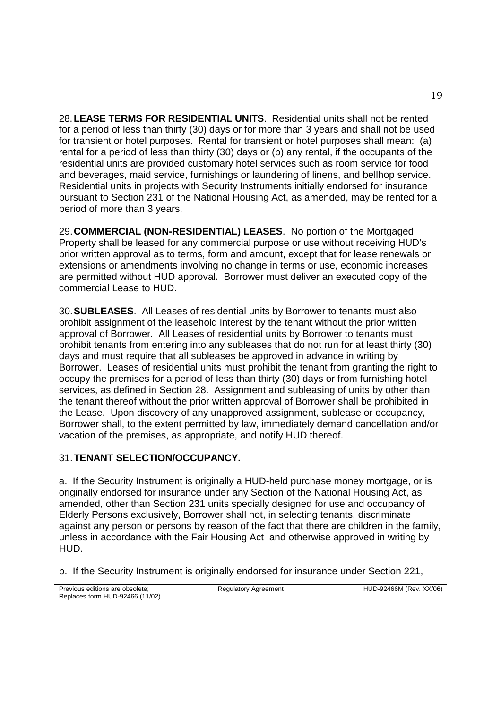28.**LEASE TERMS FOR RESIDENTIAL UNITS**. Residential units shall not be rented for a period of less than thirty (30) days or for more than 3 years and shall not be used for transient or hotel purposes. Rental for transient or hotel purposes shall mean: (a) rental for a period of less than thirty (30) days or (b) any rental, if the occupants of the residential units are provided customary hotel services such as room service for food and beverages, maid service, furnishings or laundering of linens, and bellhop service. Residential units in projects with Security Instruments initially endorsed for insurance pursuant to Section 231 of the National Housing Act, as amended, may be rented for a period of more than 3 years.

29.**COMMERCIAL (NON-RESIDENTIAL) LEASES**. No portion of the Mortgaged Property shall be leased for any commercial purpose or use without receiving HUD's prior written approval as to terms, form and amount, except that for lease renewals or extensions or amendments involving no change in terms or use, economic increases are permitted without HUD approval. Borrower must deliver an executed copy of the commercial Lease to HUD.

30.**SUBLEASES**. All Leases of residential units by Borrower to tenants must also prohibit assignment of the leasehold interest by the tenant without the prior written approval of Borrower. All Leases of residential units by Borrower to tenants must prohibit tenants from entering into any subleases that do not run for at least thirty (30) days and must require that all subleases be approved in advance in writing by Borrower. Leases of residential units must prohibit the tenant from granting the right to occupy the premises for a period of less than thirty (30) days or from furnishing hotel services, as defined in Section 28. Assignment and subleasing of units by other than the tenant thereof without the prior written approval of Borrower shall be prohibited in the Lease. Upon discovery of any unapproved assignment, sublease or occupancy, Borrower shall, to the extent permitted by law, immediately demand cancellation and/or vacation of the premises, as appropriate, and notify HUD thereof.

# 31.**TENANT SELECTION/OCCUPANCY.**

a. If the Security Instrument is originally a HUD-held purchase money mortgage, or is originally endorsed for insurance under any Section of the National Housing Act, as amended, other than Section 231 units specially designed for use and occupancy of Elderly Persons exclusively, Borrower shall not, in selecting tenants, discriminate against any person or persons by reason of the fact that there are children in the family, unless in accordance with the Fair Housing Act and otherwise approved in writing by HUD.

b. If the Security Instrument is originally endorsed for insurance under Section 221,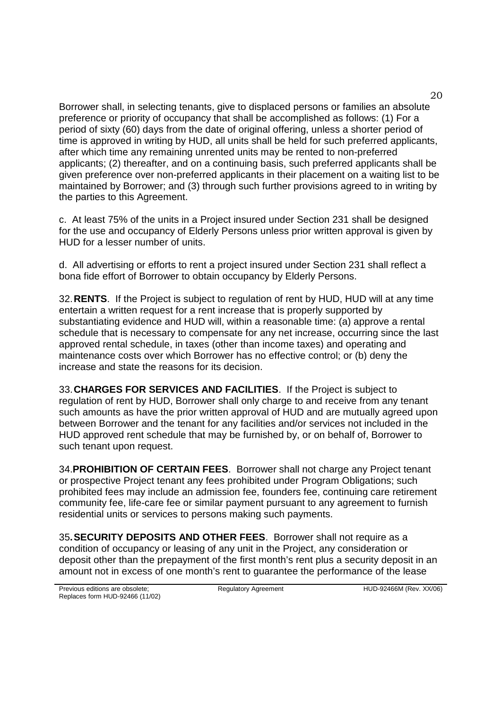Borrower shall, in selecting tenants, give to displaced persons or families an absolute preference or priority of occupancy that shall be accomplished as follows: (1) For a period of sixty (60) days from the date of original offering, unless a shorter period of time is approved in writing by HUD, all units shall be held for such preferred applicants, after which time any remaining unrented units may be rented to non-preferred applicants; (2) thereafter, and on a continuing basis, such preferred applicants shall be given preference over non-preferred applicants in their placement on a waiting list to be maintained by Borrower; and (3) through such further provisions agreed to in writing by the parties to this Agreement.

c. At least 75% of the units in a Project insured under Section 231 shall be designed for the use and occupancy of Elderly Persons unless prior written approval is given by HUD for a lesser number of units.

d. All advertising or efforts to rent a project insured under Section 231 shall reflect a bona fide effort of Borrower to obtain occupancy by Elderly Persons.

32.**RENTS**. If the Project is subject to regulation of rent by HUD, HUD will at any time entertain a written request for a rent increase that is properly supported by substantiating evidence and HUD will, within a reasonable time: (a) approve a rental schedule that is necessary to compensate for any net increase, occurring since the last approved rental schedule, in taxes (other than income taxes) and operating and maintenance costs over which Borrower has no effective control; or (b) deny the increase and state the reasons for its decision.

33.**CHARGES FOR SERVICES AND FACILITIES**. If the Project is subject to regulation of rent by HUD, Borrower shall only charge to and receive from any tenant such amounts as have the prior written approval of HUD and are mutually agreed upon between Borrower and the tenant for any facilities and/or services not included in the HUD approved rent schedule that may be furnished by, or on behalf of, Borrower to such tenant upon request.

34.**PROHIBITION OF CERTAIN FEES**. Borrower shall not charge any Project tenant or prospective Project tenant any fees prohibited under Program Obligations; such prohibited fees may include an admission fee, founders fee, continuing care retirement community fee, life-care fee or similar payment pursuant to any agreement to furnish residential units or services to persons making such payments.

35**.SECURITY DEPOSITS AND OTHER FEES**. Borrower shall not require as a condition of occupancy or leasing of any unit in the Project, any consideration or deposit other than the prepayment of the first month's rent plus a security deposit in an amount not in excess of one month's rent to guarantee the performance of the lease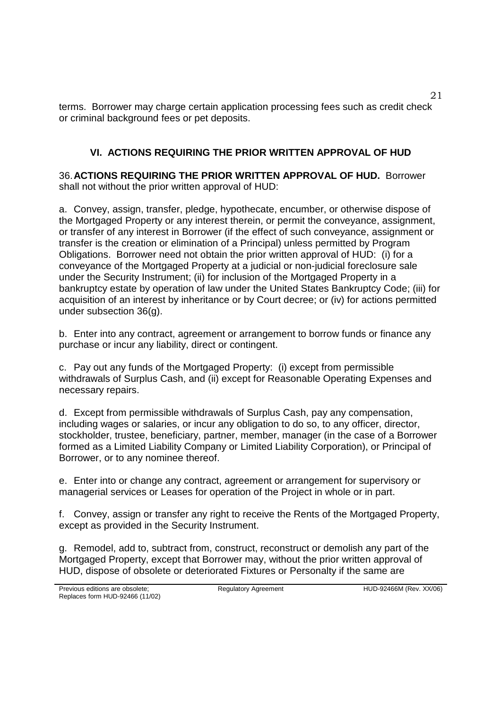terms. Borrower may charge certain application processing fees such as credit check or criminal background fees or pet deposits.

## **VI. ACTIONS REQUIRING THE PRIOR WRITTEN APPROVAL OF HUD**

36.**ACTIONS REQUIRING THE PRIOR WRITTEN APPROVAL OF HUD.** Borrower shall not without the prior written approval of HUD:

a. Convey, assign, transfer, pledge, hypothecate, encumber, or otherwise dispose of the Mortgaged Property or any interest therein, or permit the conveyance, assignment, or transfer of any interest in Borrower (if the effect of such conveyance, assignment or transfer is the creation or elimination of a Principal) unless permitted by Program Obligations. Borrower need not obtain the prior written approval of HUD: (i) for a conveyance of the Mortgaged Property at a judicial or non-judicial foreclosure sale under the Security Instrument; (ii) for inclusion of the Mortgaged Property in a bankruptcy estate by operation of law under the United States Bankruptcy Code; (iii) for acquisition of an interest by inheritance or by Court decree; or (iv) for actions permitted under subsection 36(g).

b. Enter into any contract, agreement or arrangement to borrow funds or finance any purchase or incur any liability, direct or contingent.

c. Pay out any funds of the Mortgaged Property: (i) except from permissible withdrawals of Surplus Cash, and (ii) except for Reasonable Operating Expenses and necessary repairs.

d. Except from permissible withdrawals of Surplus Cash, pay any compensation, including wages or salaries, or incur any obligation to do so, to any officer, director, stockholder, trustee, beneficiary, partner, member, manager (in the case of a Borrower formed as a Limited Liability Company or Limited Liability Corporation), or Principal of Borrower, or to any nominee thereof.

e. Enter into or change any contract, agreement or arrangement for supervisory or managerial services or Leases for operation of the Project in whole or in part.

f. Convey, assign or transfer any right to receive the Rents of the Mortgaged Property, except as provided in the Security Instrument.

g. Remodel, add to, subtract from, construct, reconstruct or demolish any part of the Mortgaged Property, except that Borrower may, without the prior written approval of HUD, dispose of obsolete or deteriorated Fixtures or Personalty if the same are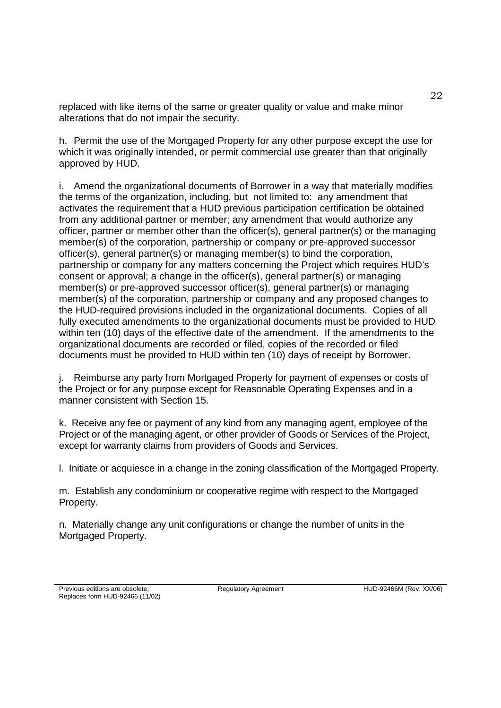replaced with like items of the same or greater quality or value and make minor alterations that do not impair the security.

h. Permit the use of the Mortgaged Property for any other purpose except the use for which it was originally intended, or permit commercial use greater than that originally approved by HUD.

i. Amend the organizational documents of Borrower in a way that materially modifies the terms of the organization, including, but not limited to: any amendment that activates the requirement that a HUD previous participation certification be obtained from any additional partner or member; any amendment that would authorize any officer, partner or member other than the officer(s), general partner(s) or the managing member(s) of the corporation, partnership or company or pre-approved successor officer(s), general partner(s) or managing member(s) to bind the corporation, partnership or company for any matters concerning the Project which requires HUD's consent or approval; a change in the officer(s), general partner(s) or managing member(s) or pre-approved successor officer(s), general partner(s) or managing member(s) of the corporation, partnership or company and any proposed changes to the HUD-required provisions included in the organizational documents. Copies of all fully executed amendments to the organizational documents must be provided to HUD within ten (10) days of the effective date of the amendment. If the amendments to the organizational documents are recorded or filed, copies of the recorded or filed documents must be provided to HUD within ten (10) days of receipt by Borrower.

j. Reimburse any party from Mortgaged Property for payment of expenses or costs of the Project or for any purpose except for Reasonable Operating Expenses and in a manner consistent with Section 15.

k. Receive any fee or payment of any kind from any managing agent, employee of the Project or of the managing agent, or other provider of Goods or Services of the Project, except for warranty claims from providers of Goods and Services.

l. Initiate or acquiesce in a change in the zoning classification of the Mortgaged Property.

m. Establish any condominium or cooperative regime with respect to the Mortgaged Property.

n. Materially change any unit configurations or change the number of units in the Mortgaged Property.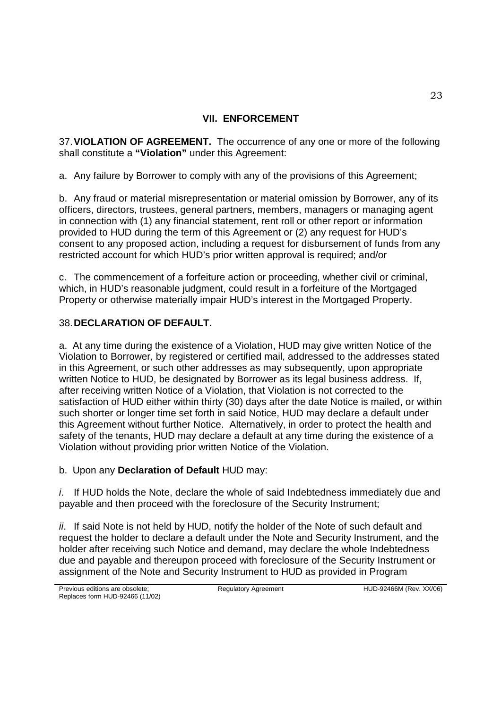## **VII. ENFORCEMENT**

37.**VIOLATION OF AGREEMENT.** The occurrence of any one or more of the following shall constitute a **"Violation"** under this Agreement:

a. Any failure by Borrower to comply with any of the provisions of this Agreement;

b. Any fraud or material misrepresentation or material omission by Borrower, any of its officers, directors, trustees, general partners, members, managers or managing agent in connection with (1) any financial statement, rent roll or other report or information provided to HUD during the term of this Agreement or (2) any request for HUD's consent to any proposed action, including a request for disbursement of funds from any restricted account for which HUD's prior written approval is required; and/or

c. The commencement of a forfeiture action or proceeding, whether civil or criminal, which, in HUD's reasonable judgment, could result in a forfeiture of the Mortgaged Property or otherwise materially impair HUD's interest in the Mortgaged Property.

## 38.**DECLARATION OF DEFAULT.**

a. At any time during the existence of a Violation, HUD may give written Notice of the Violation to Borrower, by registered or certified mail, addressed to the addresses stated in this Agreement, or such other addresses as may subsequently, upon appropriate written Notice to HUD, be designated by Borrower as its legal business address. If, after receiving written Notice of a Violation, that Violation is not corrected to the satisfaction of HUD either within thirty (30) days after the date Notice is mailed, or within such shorter or longer time set forth in said Notice, HUD may declare a default under this Agreement without further Notice. Alternatively, in order to protect the health and safety of the tenants, HUD may declare a default at any time during the existence of a Violation without providing prior written Notice of the Violation.

b. Upon any **Declaration of Default** HUD may:

*i*. If HUD holds the Note, declare the whole of said Indebtedness immediately due and payable and then proceed with the foreclosure of the Security Instrument;

*ii*. If said Note is not held by HUD, notify the holder of the Note of such default and request the holder to declare a default under the Note and Security Instrument, and the holder after receiving such Notice and demand, may declare the whole Indebtedness due and payable and thereupon proceed with foreclosure of the Security Instrument or assignment of the Note and Security Instrument to HUD as provided in Program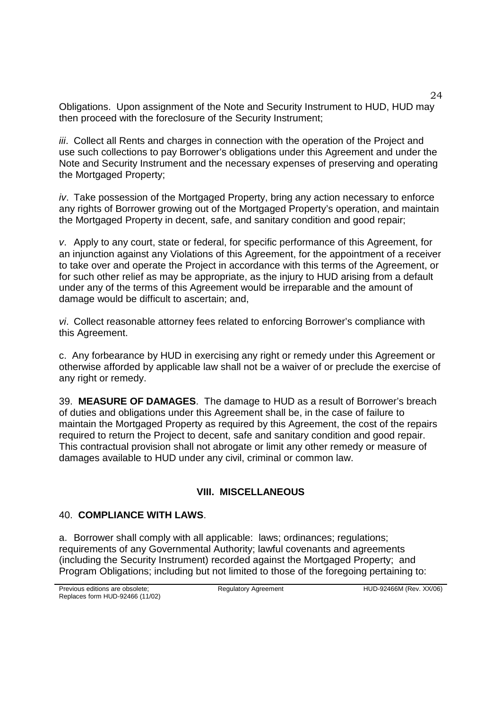Obligations. Upon assignment of the Note and Security Instrument to HUD, HUD may then proceed with the foreclosure of the Security Instrument;

*iii*. Collect all Rents and charges in connection with the operation of the Project and use such collections to pay Borrower's obligations under this Agreement and under the Note and Security Instrument and the necessary expenses of preserving and operating the Mortgaged Property;

*iv*. Take possession of the Mortgaged Property, bring any action necessary to enforce any rights of Borrower growing out of the Mortgaged Property's operation, and maintain the Mortgaged Property in decent, safe, and sanitary condition and good repair;

*v*. Apply to any court, state or federal, for specific performance of this Agreement, for an injunction against any Violations of this Agreement, for the appointment of a receiver to take over and operate the Project in accordance with this terms of the Agreement, or for such other relief as may be appropriate, as the injury to HUD arising from a default under any of the terms of this Agreement would be irreparable and the amount of damage would be difficult to ascertain; and,

*vi*. Collect reasonable attorney fees related to enforcing Borrower's compliance with this Agreement.

c. Any forbearance by HUD in exercising any right or remedy under this Agreement or otherwise afforded by applicable law shall not be a waiver of or preclude the exercise of any right or remedy.

39. **MEASURE OF DAMAGES**. The damage to HUD as a result of Borrower's breach of duties and obligations under this Agreement shall be, in the case of failure to maintain the Mortgaged Property as required by this Agreement, the cost of the repairs required to return the Project to decent, safe and sanitary condition and good repair. This contractual provision shall not abrogate or limit any other remedy or measure of damages available to HUD under any civil, criminal or common law.

# **VIII. MISCELLANEOUS**

#### 40. **COMPLIANCE WITH LAWS**.

a. Borrower shall comply with all applicable: laws; ordinances; regulations; requirements of any Governmental Authority; lawful covenants and agreements (including the Security Instrument) recorded against the Mortgaged Property; and Program Obligations; including but not limited to those of the foregoing pertaining to: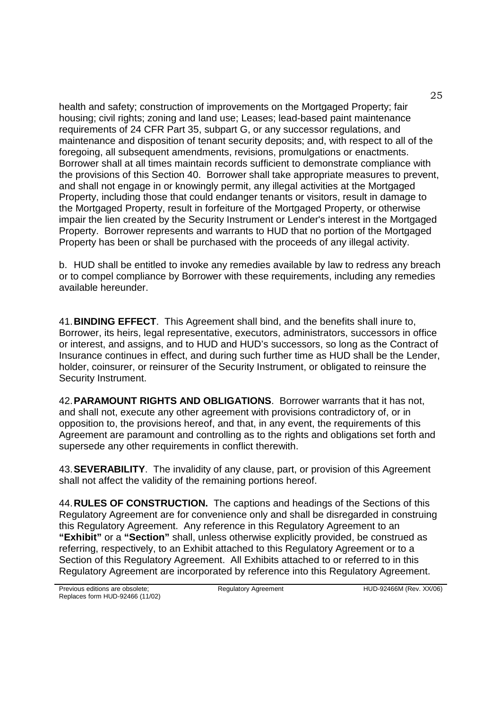health and safety; construction of improvements on the Mortgaged Property; fair housing; civil rights; zoning and land use; Leases; lead-based paint maintenance requirements of 24 CFR Part 35, subpart G, or any successor regulations, and maintenance and disposition of tenant security deposits; and, with respect to all of the foregoing, all subsequent amendments, revisions, promulgations or enactments. Borrower shall at all times maintain records sufficient to demonstrate compliance with the provisions of this Section 40. Borrower shall take appropriate measures to prevent, and shall not engage in or knowingly permit, any illegal activities at the Mortgaged Property, including those that could endanger tenants or visitors, result in damage to the Mortgaged Property, result in forfeiture of the Mortgaged Property, or otherwise impair the lien created by the Security Instrument or Lender's interest in the Mortgaged Property. Borrower represents and warrants to HUD that no portion of the Mortgaged Property has been or shall be purchased with the proceeds of any illegal activity.

b. HUD shall be entitled to invoke any remedies available by law to redress any breach or to compel compliance by Borrower with these requirements, including any remedies available hereunder.

41.**BINDING EFFECT**. This Agreement shall bind, and the benefits shall inure to, Borrower, its heirs, legal representative, executors, administrators, successors in office or interest, and assigns, and to HUD and HUD's successors, so long as the Contract of Insurance continues in effect, and during such further time as HUD shall be the Lender, holder, coinsurer, or reinsurer of the Security Instrument, or obligated to reinsure the Security Instrument.

42.**PARAMOUNT RIGHTS AND OBLIGATIONS**. Borrower warrants that it has not, and shall not, execute any other agreement with provisions contradictory of, or in opposition to, the provisions hereof, and that, in any event, the requirements of this Agreement are paramount and controlling as to the rights and obligations set forth and supersede any other requirements in conflict therewith.

43.**SEVERABILITY**. The invalidity of any clause, part, or provision of this Agreement shall not affect the validity of the remaining portions hereof.

44.**RULES OF CONSTRUCTION.** The captions and headings of the Sections of this Regulatory Agreement are for convenience only and shall be disregarded in construing this Regulatory Agreement. Any reference in this Regulatory Agreement to an **"Exhibit"** or a **"Section"** shall, unless otherwise explicitly provided, be construed as referring, respectively, to an Exhibit attached to this Regulatory Agreement or to a Section of this Regulatory Agreement. All Exhibits attached to or referred to in this Regulatory Agreement are incorporated by reference into this Regulatory Agreement.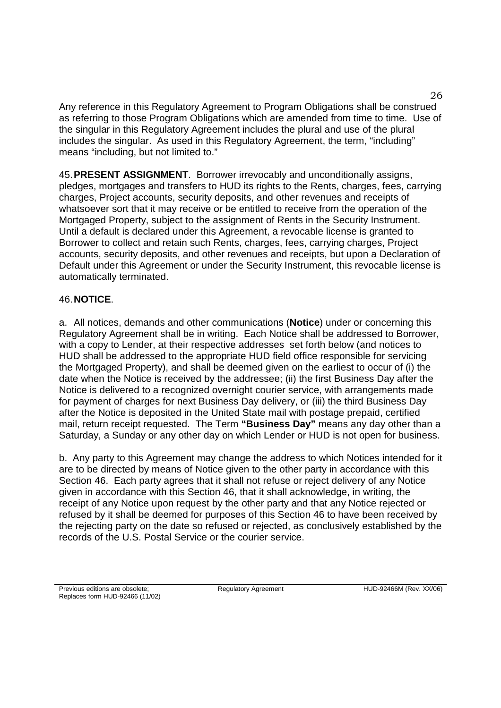Any reference in this Regulatory Agreement to Program Obligations shall be construed as referring to those Program Obligations which are amended from time to time. Use of the singular in this Regulatory Agreement includes the plural and use of the plural includes the singular. As used in this Regulatory Agreement, the term, "including" means "including, but not limited to."

45.**PRESENT ASSIGNMENT**. Borrower irrevocably and unconditionally assigns, pledges, mortgages and transfers to HUD its rights to the Rents, charges, fees, carrying charges, Project accounts, security deposits, and other revenues and receipts of whatsoever sort that it may receive or be entitled to receive from the operation of the Mortgaged Property, subject to the assignment of Rents in the Security Instrument. Until a default is declared under this Agreement, a revocable license is granted to Borrower to collect and retain such Rents, charges, fees, carrying charges, Project accounts, security deposits, and other revenues and receipts, but upon a Declaration of Default under this Agreement or under the Security Instrument, this revocable license is automatically terminated.

#### 46.**NOTICE**.

a. All notices, demands and other communications (**Notice**) under or concerning this Regulatory Agreement shall be in writing. Each Notice shall be addressed to Borrower, with a copy to Lender, at their respective addresses set forth below (and notices to HUD shall be addressed to the appropriate HUD field office responsible for servicing the Mortgaged Property), and shall be deemed given on the earliest to occur of (i) the date when the Notice is received by the addressee; (ii) the first Business Day after the Notice is delivered to a recognized overnight courier service, with arrangements made for payment of charges for next Business Day delivery, or (iii) the third Business Day after the Notice is deposited in the United State mail with postage prepaid, certified mail, return receipt requested. The Term **"Business Day"** means any day other than a Saturday, a Sunday or any other day on which Lender or HUD is not open for business.

b. Any party to this Agreement may change the address to which Notices intended for it are to be directed by means of Notice given to the other party in accordance with this Section 46. Each party agrees that it shall not refuse or reject delivery of any Notice given in accordance with this Section 46, that it shall acknowledge, in writing, the receipt of any Notice upon request by the other party and that any Notice rejected or refused by it shall be deemed for purposes of this Section 46 to have been received by the rejecting party on the date so refused or rejected, as conclusively established by the records of the U.S. Postal Service or the courier service.

26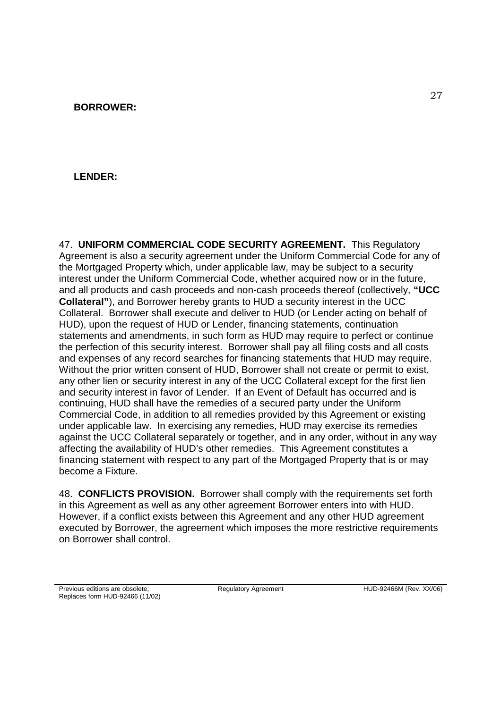## **LENDER:**

47. **UNIFORM COMMERCIAL CODE SECURITY AGREEMENT.** This Regulatory Agreement is also a security agreement under the Uniform Commercial Code for any of the Mortgaged Property which, under applicable law, may be subject to a security interest under the Uniform Commercial Code, whether acquired now or in the future, and all products and cash proceeds and non-cash proceeds thereof (collectively, **"UCC Collateral"**), and Borrower hereby grants to HUD a security interest in the UCC Collateral. Borrower shall execute and deliver to HUD (or Lender acting on behalf of HUD), upon the request of HUD or Lender, financing statements, continuation statements and amendments, in such form as HUD may require to perfect or continue the perfection of this security interest. Borrower shall pay all filing costs and all costs and expenses of any record searches for financing statements that HUD may require. Without the prior written consent of HUD, Borrower shall not create or permit to exist, any other lien or security interest in any of the UCC Collateral except for the first lien and security interest in favor of Lender. If an Event of Default has occurred and is continuing, HUD shall have the remedies of a secured party under the Uniform Commercial Code, in addition to all remedies provided by this Agreement or existing under applicable law. In exercising any remedies, HUD may exercise its remedies against the UCC Collateral separately or together, and in any order, without in any way affecting the availability of HUD's other remedies. This Agreement constitutes a financing statement with respect to any part of the Mortgaged Property that is or may become a Fixture.

48. **CONFLICTS PROVISION.** Borrower shall comply with the requirements set forth in this Agreement as well as any other agreement Borrower enters into with HUD. However, if a conflict exists between this Agreement and any other HUD agreement executed by Borrower, the agreement which imposes the more restrictive requirements on Borrower shall control.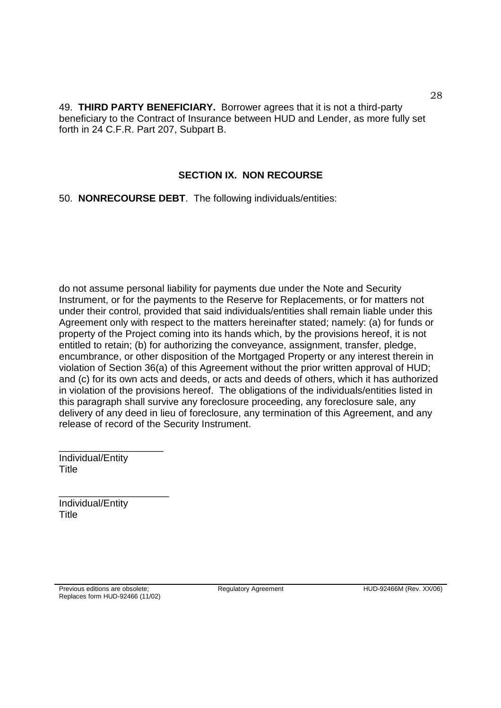49. **THIRD PARTY BENEFICIARY.** Borrower agrees that it is not a third-party beneficiary to the Contract of Insurance between HUD and Lender, as more fully set forth in 24 C.F.R. Part 207, Subpart B.

#### **SECTION IX. NON RECOURSE**

50. **NONRECOURSE DEBT**. The following individuals/entities:

do not assume personal liability for payments due under the Note and Security Instrument, or for the payments to the Reserve for Replacements, or for matters not under their control, provided that said individuals/entities shall remain liable under this Agreement only with respect to the matters hereinafter stated; namely: (a) for funds or property of the Project coming into its hands which, by the provisions hereof, it is not entitled to retain; (b) for authorizing the conveyance, assignment, transfer, pledge, encumbrance, or other disposition of the Mortgaged Property or any interest therein in violation of Section 36(a) of this Agreement without the prior written approval of HUD; and (c) for its own acts and deeds, or acts and deeds of others, which it has authorized in violation of the provisions hereof. The obligations of the individuals/entities listed in this paragraph shall survive any foreclosure proceeding, any foreclosure sale, any delivery of any deed in lieu of foreclosure, any termination of this Agreement, and any release of record of the Security Instrument.

Individual/Entity **Title** 

\_\_\_\_\_\_\_\_\_\_\_\_\_\_\_\_\_\_\_

\_\_\_\_\_\_\_\_\_\_\_\_\_\_\_\_\_\_\_\_

Individual/Entity **Title**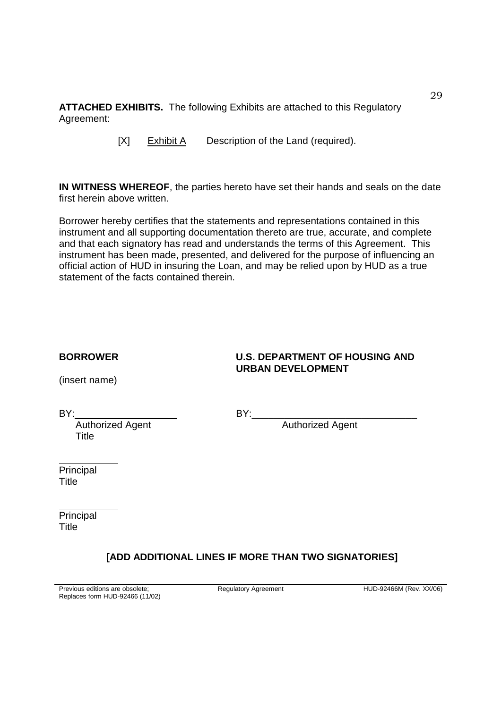**ATTACHED EXHIBITS.** The following Exhibits are attached to this Regulatory Agreement:

[X] Exhibit A Description of the Land (required).

**IN WITNESS WHEREOF**, the parties hereto have set their hands and seals on the date first herein above written.

Borrower hereby certifies that the statements and representations contained in this instrument and all supporting documentation thereto are true, accurate, and complete and that each signatory has read and understands the terms of this Agreement. This instrument has been made, presented, and delivered for the purpose of influencing an official action of HUD in insuring the Loan, and may be relied upon by HUD as a true statement of the facts contained therein.

#### **BORROWER U.S. DEPARTMENT OF HOUSING AND**

(insert name)

**URBAN DEVELOPMENT**

**Title** 

BY:\_\_\_\_\_\_\_\_\_\_\_\_\_\_\_\_\_ BY:\_\_\_\_\_\_\_\_\_\_\_\_\_\_\_\_\_\_\_\_\_\_\_\_\_\_\_\_\_\_

Authorized Agent **Authorized Agent** 

**Principal Title** 

Principal **Title** 

# **[ADD ADDITIONAL LINES IF MORE THAN TWO SIGNATORIES]**

Regulatory Agreement HUD-92466M (Rev. XX/06)

29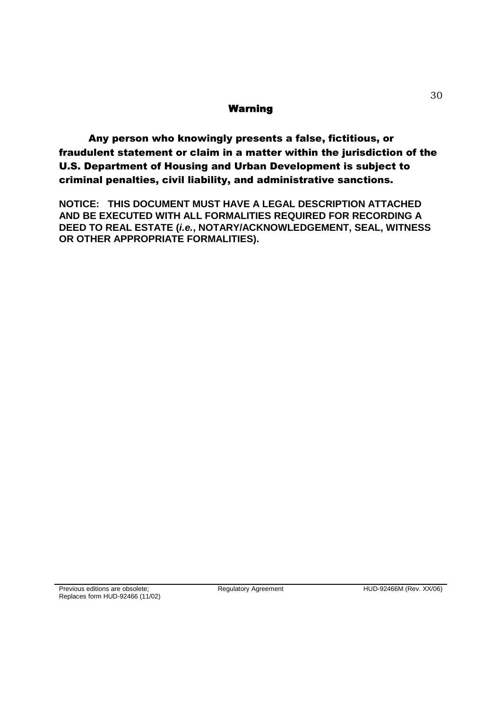#### Warning

Any person who knowingly presents a false, fictitious, or fraudulent statement or claim in a matter within the jurisdiction of the U.S. Department of Housing and Urban Development is subject to criminal penalties, civil liability, and administrative sanctions.

**NOTICE: THIS DOCUMENT MUST HAVE A LEGAL DESCRIPTION ATTACHED AND BE EXECUTED WITH ALL FORMALITIES REQUIRED FOR RECORDING A DEED TO REAL ESTATE (***i.e.***, NOTARY/ACKNOWLEDGEMENT, SEAL, WITNESS OR OTHER APPROPRIATE FORMALITIES).**